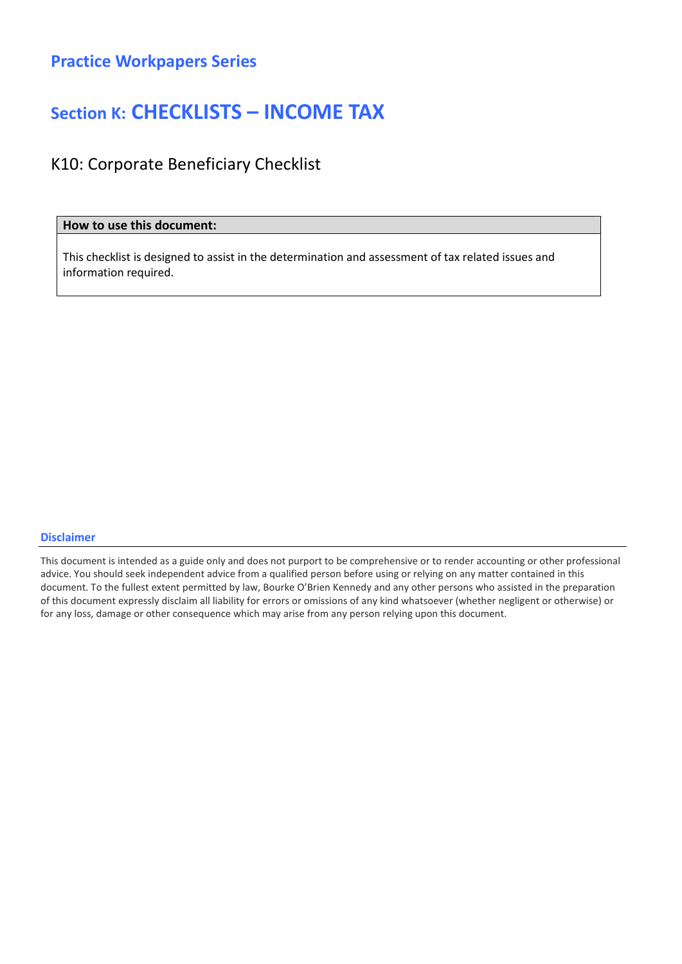## Section K: CHECKLISTS – INCOME TAX

### K10: Corporate Beneficiary Checklist

### How to use this document:

This checklist is designed to assist in the determination and assessment of tax related issues and information required.

#### Disclaimer

This document is intended as a guide only and does not purport to be comprehensive or to render accounting or other professional advice. You should seek independent advice from a qualified person before using or relying on any matter contained in this document. To the fullest extent permitted by law, Bourke O'Brien Kennedy and any other persons who assisted in the preparation of this document expressly disclaim all liability for errors or omissions of any kind whatsoever (whether negligent or otherwise) or for any loss, damage or other consequence which may arise from any person relying upon this document.